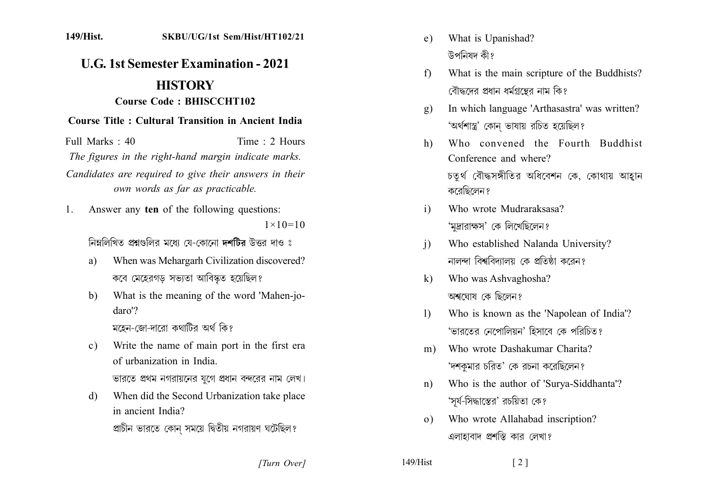## 149/Hist. SKBU/UG/1st Sem/Hist/HT102/21

## **U.G. 1st Semester Examination - 2021 HISTORY**

## **Course Code: BHISCCHT102**

## **Course Title: Cultural Transition in Ancient India**

Full Marks  $\cdot$  40 Time  $\cdot$  2 Hours The figures in the right-hand margin indicate marks. Candidates are required to give their answers in their own words as far as practicable.

Answer any ten of the following questions: 1.  $1 \times 10 = 10$ 

নিম্নলিখিত প্ৰশ্নগুলির মধ্যে যে-কোনো দশটির উত্তর দাও ঃ

- When was Mehargarh Civilization discovered? a) কবে মেহেরগড় সভ্যতা আবিস্কৃত হয়েছিল?
- What is the meaning of the word 'Mahen-jo $b)$ daro'?

মহেন-জো-দারো কথাটির অর্থ কি?

- Write the name of main port in the first era  $c)$ of urbanization in India ভারতে প্রথম নগরায়নের যুগে প্রধান বন্দরের নাম লেখ।
- When did the Second Urbanization take place d) in ancient India?

প্রাচীন ভারতে কোন সময়ে দ্বিতীয় নগরায়ণ ঘটেছিল?

[Turn Over]

- What is Upanishad?  $e)$ উপনিষদ কী?
- What is the main scripture of the Buddhists?  $f$ বৌদ্ধদের প্রধান ধর্মগ্রন্তের নাম কি?
- In which language 'Arthasastra' was written?  $\mathbf{Q}$ 'অৰ্থশাস্ত্ৰ' কোন ভাষায় রচিত হয়েছিল?
- Who convened the Fourth Buddhist  $h)$ Conference and where? চতুৰ্থ বৌদ্ধসঙ্গীতির অধিবেশন কে, কোথায় আহ্বান কবেছিলেন প
- Who wrote Mudraraksasa?  $i)$ 'মুদ্রারাক্ষস' কে লিখেছিলেন?
- Who established Nalanda University?  $\mathbf{i}$ নালন্দা বিশ্ববিদ্যালয় কে প্রতিষ্ঠা করেন?
- Who was Ashvaghosha?  $k)$ অশ্বযোষ কে ছিলেন?
- Who is known as the 'Napolean of India'?  $\mathbf{D}$ 'ভারতের নেপোলিয়ন' হিসাবে কে পরিচিত?
- Who wrote Dashakumar Charita?  $m)$ 'দশকুমার চরিত' কে রচনা করেছিলেন?
- Who is the author of 'Surya-Siddhanta'?  $n)$ 'সূর্য-সিদ্ধান্তের' রচয়িতা কে?

 $\lceil 2 \rceil$ 

Who wrote Allahabad inscription?  $(0)$ এলাহাবাদ প্রশস্তি কার লেখা?

 $149/Hist$